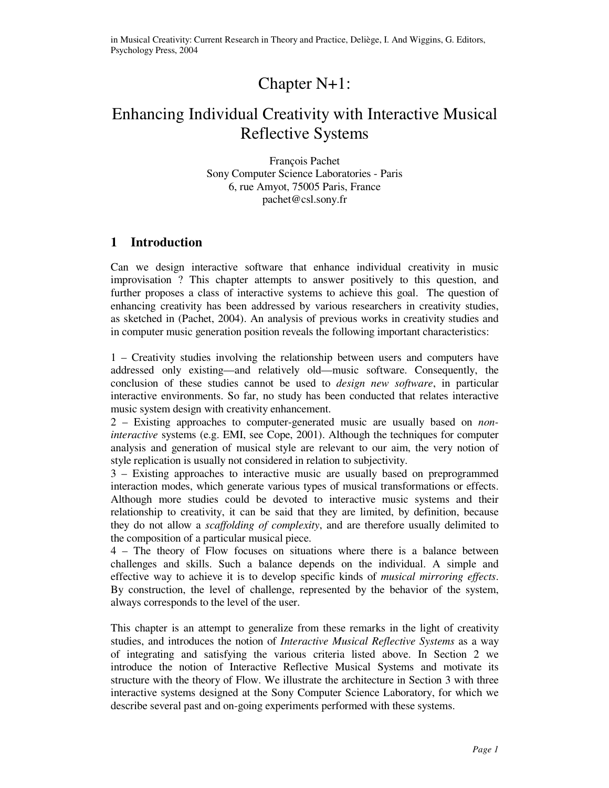# Chapter N+1:

# Enhancing Individual Creativity with Interactive Musical Reflective Systems

François Pachet Sony Computer Science Laboratories - Paris 6, rue Amyot, 75005 Paris, France pachet@csl.sony.fr

# **1 Introduction**

Can we design interactive software that enhance individual creativity in music improvisation ? This chapter attempts to answer positively to this question, and further proposes a class of interactive systems to achieve this goal. The question of enhancing creativity has been addressed by various researchers in creativity studies, as sketched in (Pachet, 2004). An analysis of previous works in creativity studies and in computer music generation position reveals the following important characteristics:

1 – Creativity studies involving the relationship between users and computers have addressed only existing—and relatively old—music software. Consequently, the conclusion of these studies cannot be used to *design new software*, in particular interactive environments. So far, no study has been conducted that relates interactive music system design with creativity enhancement.

2 – Existing approaches to computer-generated music are usually based on *noninteractive* systems (e.g. EMI, see Cope, 2001). Although the techniques for computer analysis and generation of musical style are relevant to our aim, the very notion of style replication is usually not considered in relation to subjectivity.

3 – Existing approaches to interactive music are usually based on preprogrammed interaction modes, which generate various types of musical transformations or effects. Although more studies could be devoted to interactive music systems and their relationship to creativity, it can be said that they are limited, by definition, because they do not allow a *scaffolding of complexity*, and are therefore usually delimited to the composition of a particular musical piece.

4 – The theory of Flow focuses on situations where there is a balance between challenges and skills. Such a balance depends on the individual. A simple and effective way to achieve it is to develop specific kinds of *musical mirroring effects*. By construction, the level of challenge, represented by the behavior of the system, always corresponds to the level of the user.

This chapter is an attempt to generalize from these remarks in the light of creativity studies, and introduces the notion of *Interactive Musical Reflective Systems* as a way of integrating and satisfying the various criteria listed above. In Section 2 we introduce the notion of Interactive Reflective Musical Systems and motivate its structure with the theory of Flow. We illustrate the architecture in Section 3 with three interactive systems designed at the Sony Computer Science Laboratory, for which we describe several past and on-going experiments performed with these systems.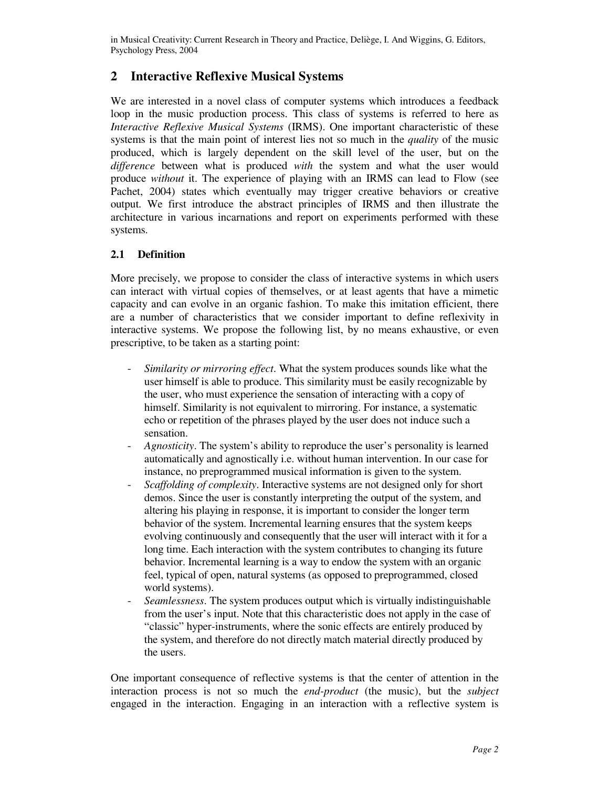# **2 Interactive Reflexive Musical Systems**

We are interested in a novel class of computer systems which introduces a feedback loop in the music production process. This class of systems is referred to here as *Interactive Reflexive Musical Systems* (IRMS). One important characteristic of these systems is that the main point of interest lies not so much in the *quality* of the music produced, which is largely dependent on the skill level of the user, but on the *difference* between what is produced *with* the system and what the user would produce *without* it. The experience of playing with an IRMS can lead to Flow (see Pachet, 2004) states which eventually may trigger creative behaviors or creative output. We first introduce the abstract principles of IRMS and then illustrate the architecture in various incarnations and report on experiments performed with these systems.

## **2.1 Definition**

More precisely, we propose to consider the class of interactive systems in which users can interact with virtual copies of themselves, or at least agents that have a mimetic capacity and can evolve in an organic fashion. To make this imitation efficient, there are a number of characteristics that we consider important to define reflexivity in interactive systems. We propose the following list, by no means exhaustive, or even prescriptive, to be taken as a starting point:

- *Similarity or mirroring effect*. What the system produces sounds like what the user himself is able to produce. This similarity must be easily recognizable by the user, who must experience the sensation of interacting with a copy of himself. Similarity is not equivalent to mirroring. For instance, a systematic echo or repetition of the phrases played by the user does not induce such a sensation.
- *Agnosticity*. The system's ability to reproduce the user's personality is learned automatically and agnostically i.e. without human intervention. In our case for instance, no preprogrammed musical information is given to the system.
- *Scaffolding of complexity*. Interactive systems are not designed only for short demos. Since the user is constantly interpreting the output of the system, and altering his playing in response, it is important to consider the longer term behavior of the system. Incremental learning ensures that the system keeps evolving continuously and consequently that the user will interact with it for a long time. Each interaction with the system contributes to changing its future behavior. Incremental learning is a way to endow the system with an organic feel, typical of open, natural systems (as opposed to preprogrammed, closed world systems).
- *Seamlessness*. The system produces output which is virtually indistinguishable from the user's input. Note that this characteristic does not apply in the case of "classic" hyper-instruments, where the sonic effects are entirely produced by the system, and therefore do not directly match material directly produced by the users.

One important consequence of reflective systems is that the center of attention in the interaction process is not so much the *end-product* (the music), but the *subject* engaged in the interaction. Engaging in an interaction with a reflective system is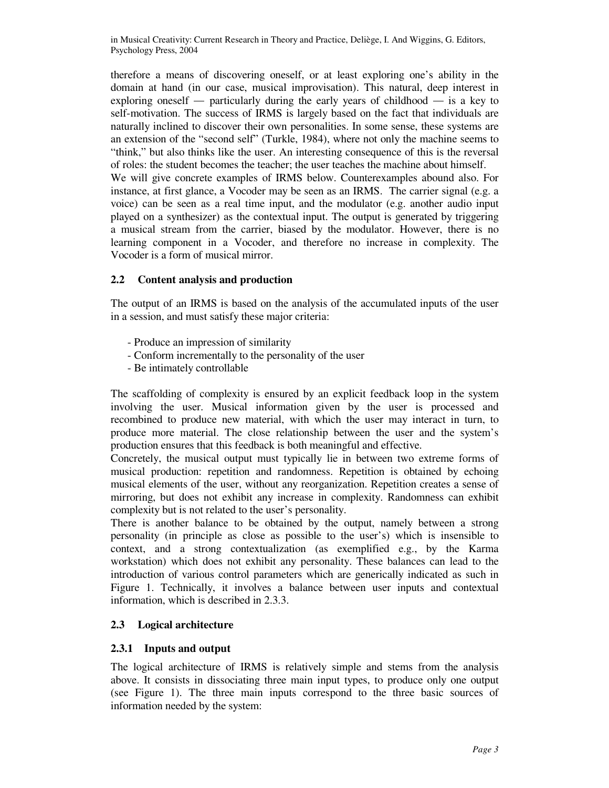therefore a means of discovering oneself, or at least exploring one's ability in the domain at hand (in our case, musical improvisation). This natural, deep interest in exploring oneself ― particularly during the early years of childhood ― is a key to self-motivation. The success of IRMS is largely based on the fact that individuals are naturally inclined to discover their own personalities. In some sense, these systems are an extension of the "second self" (Turkle, 1984), where not only the machine seems to "think," but also thinks like the user. An interesting consequence of this is the reversal of roles: the student becomes the teacher; the user teaches the machine about himself.

We will give concrete examples of IRMS below. Counterexamples abound also. For instance, at first glance, a Vocoder may be seen as an IRMS. The carrier signal (e.g. a voice) can be seen as a real time input, and the modulator (e.g. another audio input played on a synthesizer) as the contextual input. The output is generated by triggering a musical stream from the carrier, biased by the modulator. However, there is no learning component in a Vocoder, and therefore no increase in complexity. The Vocoder is a form of musical mirror.

## **2.2 Content analysis and production**

The output of an IRMS is based on the analysis of the accumulated inputs of the user in a session, and must satisfy these major criteria:

- Produce an impression of similarity
- Conform incrementally to the personality of the user
- Be intimately controllable

The scaffolding of complexity is ensured by an explicit feedback loop in the system involving the user. Musical information given by the user is processed and recombined to produce new material, with which the user may interact in turn, to produce more material. The close relationship between the user and the system's production ensures that this feedback is both meaningful and effective.

Concretely, the musical output must typically lie in between two extreme forms of musical production: repetition and randomness. Repetition is obtained by echoing musical elements of the user, without any reorganization. Repetition creates a sense of mirroring, but does not exhibit any increase in complexity. Randomness can exhibit complexity but is not related to the user's personality.

There is another balance to be obtained by the output, namely between a strong personality (in principle as close as possible to the user's) which is insensible to context, and a strong contextualization (as exemplified e.g., by the Karma workstation) which does not exhibit any personality. These balances can lead to the introduction of various control parameters which are generically indicated as such in Figure 1. Technically, it involves a balance between user inputs and contextual information, which is described in 2.3.3.

## **2.3 Logical architecture**

## **2.3.1 Inputs and output**

The logical architecture of IRMS is relatively simple and stems from the analysis above. It consists in dissociating three main input types, to produce only one output (see Figure 1). The three main inputs correspond to the three basic sources of information needed by the system: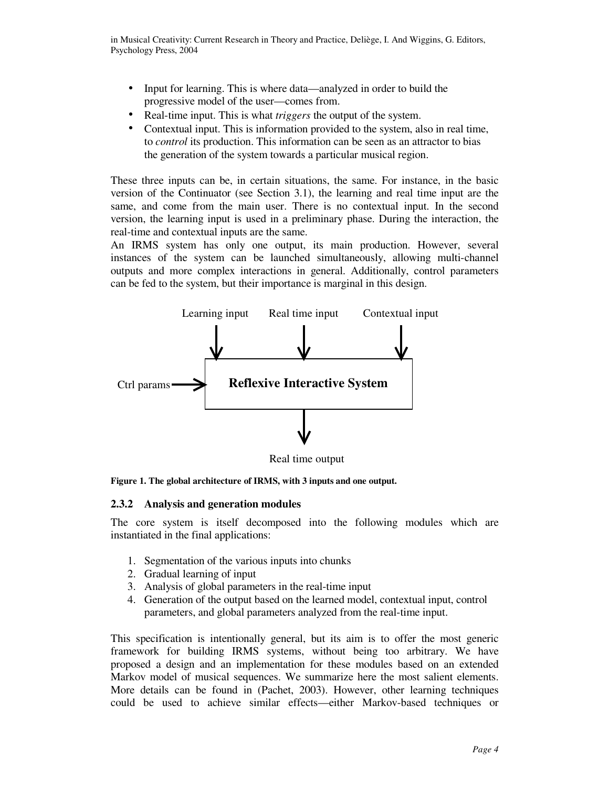- Input for learning. This is where data—analyzed in order to build the progressive model of the user—comes from.
- Real-time input. This is what *triggers* the output of the system.
- Contextual input. This is information provided to the system, also in real time, to *control* its production. This information can be seen as an attractor to bias the generation of the system towards a particular musical region.

These three inputs can be, in certain situations, the same. For instance, in the basic version of the Continuator (see Section 3.1), the learning and real time input are the same, and come from the main user. There is no contextual input. In the second version, the learning input is used in a preliminary phase. During the interaction, the real-time and contextual inputs are the same.

An IRMS system has only one output, its main production. However, several instances of the system can be launched simultaneously, allowing multi-channel outputs and more complex interactions in general. Additionally, control parameters can be fed to the system, but their importance is marginal in this design.



Real time output

#### **Figure 1. The global architecture of IRMS, with 3 inputs and one output.**

#### **2.3.2 Analysis and generation modules**

The core system is itself decomposed into the following modules which are instantiated in the final applications:

- 1. Segmentation of the various inputs into chunks
- 2. Gradual learning of input
- 3. Analysis of global parameters in the real-time input
- 4. Generation of the output based on the learned model, contextual input, control parameters, and global parameters analyzed from the real-time input.

This specification is intentionally general, but its aim is to offer the most generic framework for building IRMS systems, without being too arbitrary. We have proposed a design and an implementation for these modules based on an extended Markov model of musical sequences. We summarize here the most salient elements. More details can be found in (Pachet, 2003). However, other learning techniques could be used to achieve similar effects—either Markov-based techniques or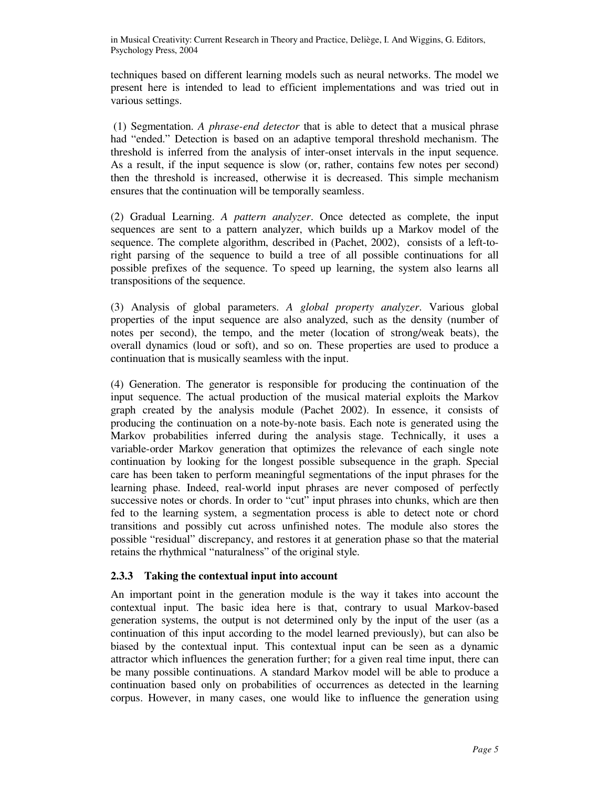techniques based on different learning models such as neural networks. The model we present here is intended to lead to efficient implementations and was tried out in various settings.

 (1) Segmentation. *A phrase-end detector* that is able to detect that a musical phrase had "ended." Detection is based on an adaptive temporal threshold mechanism. The threshold is inferred from the analysis of inter-onset intervals in the input sequence. As a result, if the input sequence is slow (or, rather, contains few notes per second) then the threshold is increased, otherwise it is decreased. This simple mechanism ensures that the continuation will be temporally seamless.

(2) Gradual Learning. *A pattern analyzer*. Once detected as complete, the input sequences are sent to a pattern analyzer, which builds up a Markov model of the sequence. The complete algorithm, described in (Pachet, 2002), consists of a left-toright parsing of the sequence to build a tree of all possible continuations for all possible prefixes of the sequence. To speed up learning, the system also learns all transpositions of the sequence.

(3) Analysis of global parameters. *A global property analyzer*. Various global properties of the input sequence are also analyzed, such as the density (number of notes per second), the tempo, and the meter (location of strong/weak beats), the overall dynamics (loud or soft), and so on. These properties are used to produce a continuation that is musically seamless with the input.

(4) Generation. The generator is responsible for producing the continuation of the input sequence. The actual production of the musical material exploits the Markov graph created by the analysis module (Pachet 2002). In essence, it consists of producing the continuation on a note-by-note basis. Each note is generated using the Markov probabilities inferred during the analysis stage. Technically, it uses a variable-order Markov generation that optimizes the relevance of each single note continuation by looking for the longest possible subsequence in the graph. Special care has been taken to perform meaningful segmentations of the input phrases for the learning phase. Indeed, real-world input phrases are never composed of perfectly successive notes or chords. In order to "cut" input phrases into chunks, which are then fed to the learning system, a segmentation process is able to detect note or chord transitions and possibly cut across unfinished notes. The module also stores the possible "residual" discrepancy, and restores it at generation phase so that the material retains the rhythmical "naturalness" of the original style.

#### **2.3.3 Taking the contextual input into account**

An important point in the generation module is the way it takes into account the contextual input. The basic idea here is that, contrary to usual Markov-based generation systems, the output is not determined only by the input of the user (as a continuation of this input according to the model learned previously), but can also be biased by the contextual input. This contextual input can be seen as a dynamic attractor which influences the generation further; for a given real time input, there can be many possible continuations. A standard Markov model will be able to produce a continuation based only on probabilities of occurrences as detected in the learning corpus. However, in many cases, one would like to influence the generation using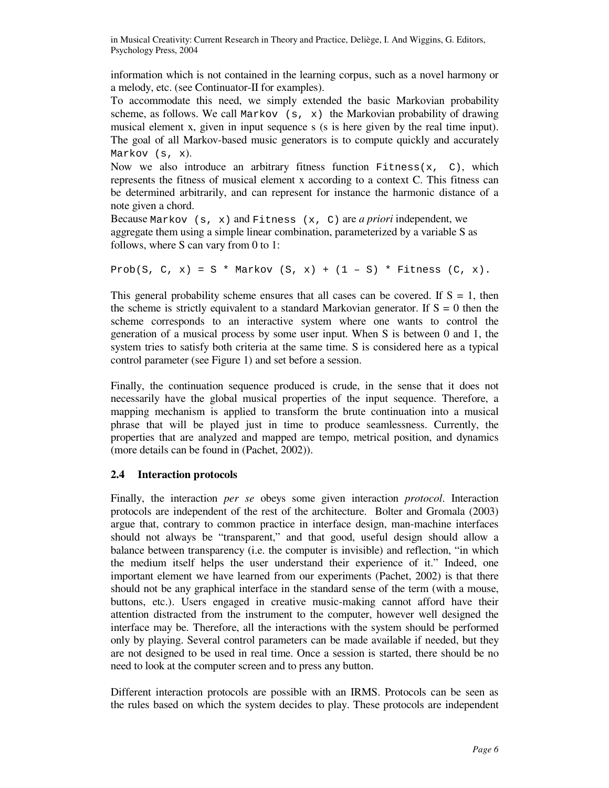information which is not contained in the learning corpus, such as a novel harmony or a melody, etc. (see Continuator-II for examples).

To accommodate this need, we simply extended the basic Markovian probability scheme, as follows. We call Markov  $(s, x)$  the Markovian probability of drawing musical element x, given in input sequence s (s is here given by the real time input). The goal of all Markov-based music generators is to compute quickly and accurately Markov (s, x).

Now we also introduce an arbitrary fitness function  $Fitness(x, c)$ , which represents the fitness of musical element x according to a context C. This fitness can be determined arbitrarily, and can represent for instance the harmonic distance of a note given a chord.

Because Markov (s, x) and Fitness (x, C) are *a priori* independent, we aggregate them using a simple linear combination, parameterized by a variable S as follows, where S can vary from 0 to 1:

Prob(S, C, x) = S \* Markov (S, x) + (1 – S) \* Fitness (C, x).

This general probability scheme ensures that all cases can be covered. If  $S = 1$ , then the scheme is strictly equivalent to a standard Markovian generator. If  $S = 0$  then the scheme corresponds to an interactive system where one wants to control the generation of a musical process by some user input. When S is between 0 and 1, the system tries to satisfy both criteria at the same time. S is considered here as a typical control parameter (see Figure 1) and set before a session.

Finally, the continuation sequence produced is crude, in the sense that it does not necessarily have the global musical properties of the input sequence. Therefore, a mapping mechanism is applied to transform the brute continuation into a musical phrase that will be played just in time to produce seamlessness. Currently, the properties that are analyzed and mapped are tempo, metrical position, and dynamics (more details can be found in (Pachet, 2002)).

#### **2.4 Interaction protocols**

Finally, the interaction *per se* obeys some given interaction *protocol*. Interaction protocols are independent of the rest of the architecture. Bolter and Gromala (2003) argue that, contrary to common practice in interface design, man-machine interfaces should not always be "transparent," and that good, useful design should allow a balance between transparency (i.e. the computer is invisible) and reflection, "in which the medium itself helps the user understand their experience of it." Indeed, one important element we have learned from our experiments (Pachet, 2002) is that there should not be any graphical interface in the standard sense of the term (with a mouse, buttons, etc.). Users engaged in creative music-making cannot afford have their attention distracted from the instrument to the computer, however well designed the interface may be. Therefore, all the interactions with the system should be performed only by playing. Several control parameters can be made available if needed, but they are not designed to be used in real time. Once a session is started, there should be no need to look at the computer screen and to press any button.

Different interaction protocols are possible with an IRMS. Protocols can be seen as the rules based on which the system decides to play. These protocols are independent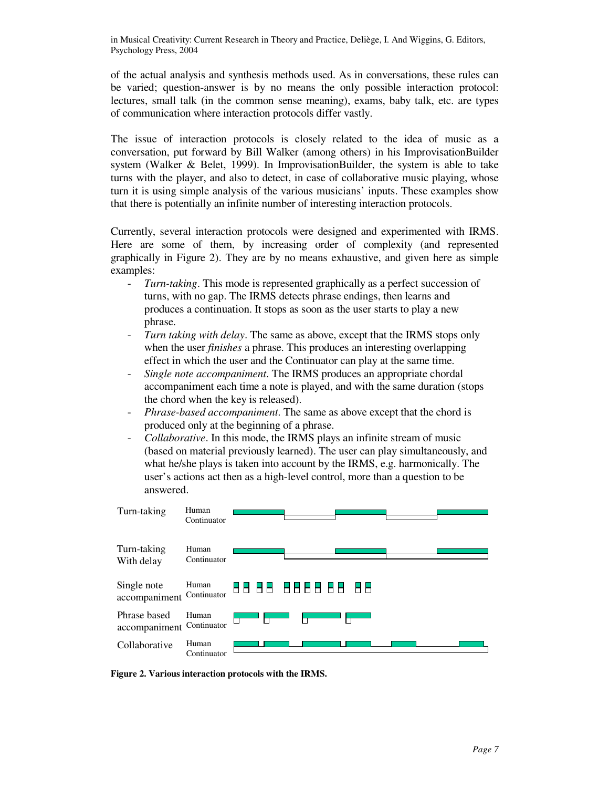of the actual analysis and synthesis methods used. As in conversations, these rules can be varied; question-answer is by no means the only possible interaction protocol: lectures, small talk (in the common sense meaning), exams, baby talk, etc. are types of communication where interaction protocols differ vastly.

The issue of interaction protocols is closely related to the idea of music as a conversation, put forward by Bill Walker (among others) in his ImprovisationBuilder system (Walker & Belet, 1999). In ImprovisationBuilder, the system is able to take turns with the player, and also to detect, in case of collaborative music playing, whose turn it is using simple analysis of the various musicians' inputs. These examples show that there is potentially an infinite number of interesting interaction protocols.

Currently, several interaction protocols were designed and experimented with IRMS. Here are some of them, by increasing order of complexity (and represented graphically in Figure 2). They are by no means exhaustive, and given here as simple examples:

- *Turn-taking*. This mode is represented graphically as a perfect succession of turns, with no gap. The IRMS detects phrase endings, then learns and produces a continuation. It stops as soon as the user starts to play a new phrase.
- *Turn taking with delay*. The same as above, except that the IRMS stops only when the user *finishes* a phrase. This produces an interesting overlapping effect in which the user and the Continuator can play at the same time.
- *Single note accompaniment*. The IRMS produces an appropriate chordal accompaniment each time a note is played, and with the same duration (stops the chord when the key is released).
- *Phrase-based accompaniment*. The same as above except that the chord is produced only at the beginning of a phrase.
- *Collaborative*. In this mode, the IRMS plays an infinite stream of music (based on material previously learned). The user can play simultaneously, and what he/she plays is taken into account by the IRMS, e.g. harmonically. The user's actions act then as a high-level control, more than a question to be answered.



**Figure 2. Various interaction protocols with the IRMS.**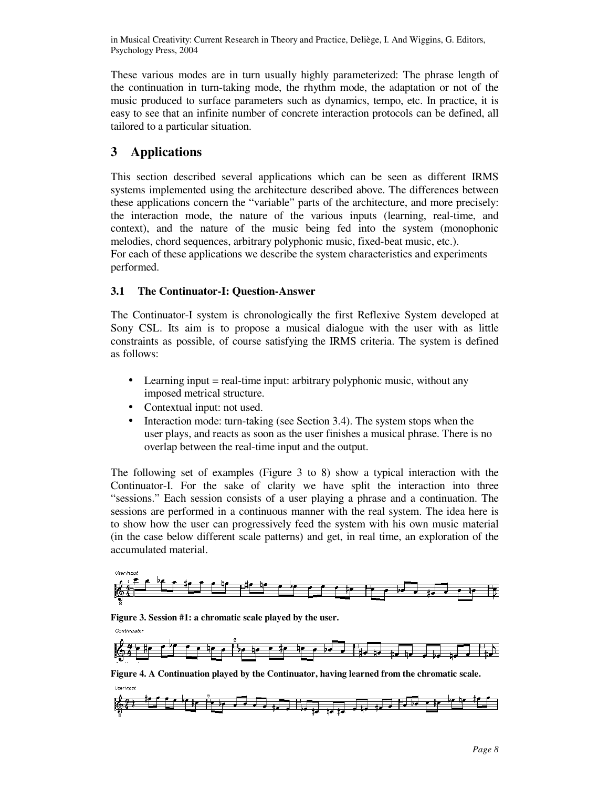These various modes are in turn usually highly parameterized: The phrase length of the continuation in turn-taking mode, the rhythm mode, the adaptation or not of the music produced to surface parameters such as dynamics, tempo, etc. In practice, it is easy to see that an infinite number of concrete interaction protocols can be defined, all tailored to a particular situation.

# **3 Applications**

This section described several applications which can be seen as different IRMS systems implemented using the architecture described above. The differences between these applications concern the "variable" parts of the architecture, and more precisely: the interaction mode, the nature of the various inputs (learning, real-time, and context), and the nature of the music being fed into the system (monophonic melodies, chord sequences, arbitrary polyphonic music, fixed-beat music, etc.). For each of these applications we describe the system characteristics and experiments performed.

## **3.1 The Continuator-I: Question-Answer**

The Continuator-I system is chronologically the first Reflexive System developed at Sony CSL. Its aim is to propose a musical dialogue with the user with as little constraints as possible, of course satisfying the IRMS criteria. The system is defined as follows:

- Learning input = real-time input: arbitrary polyphonic music, without any imposed metrical structure.
- Contextual input: not used.
- Interaction mode: turn-taking (see Section 3.4). The system stops when the user plays, and reacts as soon as the user finishes a musical phrase. There is no overlap between the real-time input and the output.

The following set of examples (Figure 3 to 8) show a typical interaction with the Continuator-I. For the sake of clarity we have split the interaction into three "sessions." Each session consists of a user playing a phrase and a continuation. The sessions are performed in a continuous manner with the real system. The idea here is to show how the user can progressively feed the system with his own music material (in the case below different scale patterns) and get, in real time, an exploration of the accumulated material.



**Figure 3. Session #1: a chromatic scale played by the user.** 

Continuator



**Figure 4. A Continuation played by the Continuator, having learned from the chromatic scale.** 

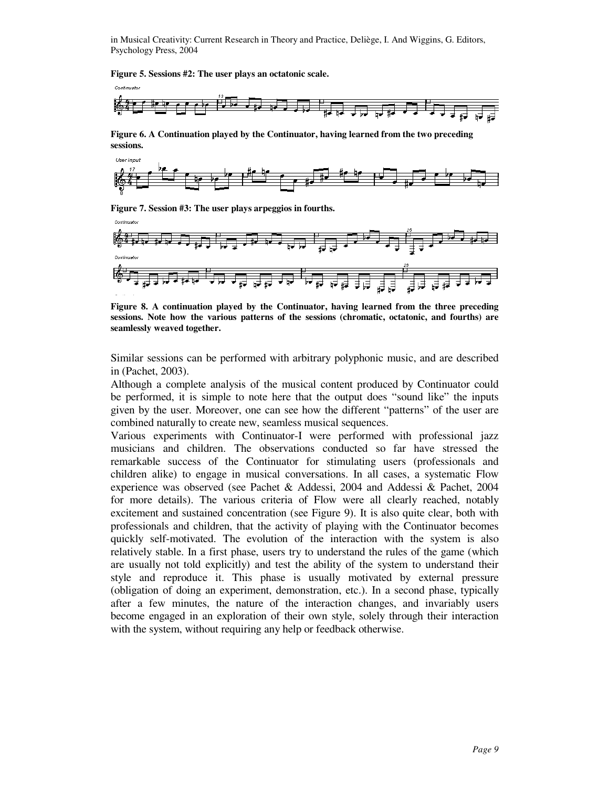**Figure 5. Sessions #2: The user plays an octatonic scale.** 

Continuato



**Figure 6. A Continuation played by the Continuator, having learned from the two preceding sessions.** 



**Figure 7. Session #3: The user plays arpeggios in fourths.** 



**Figure 8. A continuation played by the Continuator, having learned from the three preceding sessions. Note how the various patterns of the sessions (chromatic, octatonic, and fourths) are seamlessly weaved together.** 

Similar sessions can be performed with arbitrary polyphonic music, and are described in (Pachet, 2003).

Although a complete analysis of the musical content produced by Continuator could be performed, it is simple to note here that the output does "sound like" the inputs given by the user. Moreover, one can see how the different "patterns" of the user are combined naturally to create new, seamless musical sequences.

Various experiments with Continuator-I were performed with professional jazz musicians and children. The observations conducted so far have stressed the remarkable success of the Continuator for stimulating users (professionals and children alike) to engage in musical conversations. In all cases, a systematic Flow experience was observed (see Pachet & Addessi, 2004 and Addessi & Pachet, 2004 for more details). The various criteria of Flow were all clearly reached, notably excitement and sustained concentration (see Figure 9). It is also quite clear, both with professionals and children, that the activity of playing with the Continuator becomes quickly self-motivated. The evolution of the interaction with the system is also relatively stable. In a first phase, users try to understand the rules of the game (which are usually not told explicitly) and test the ability of the system to understand their style and reproduce it. This phase is usually motivated by external pressure (obligation of doing an experiment, demonstration, etc.). In a second phase, typically after a few minutes, the nature of the interaction changes, and invariably users become engaged in an exploration of their own style, solely through their interaction with the system, without requiring any help or feedback otherwise.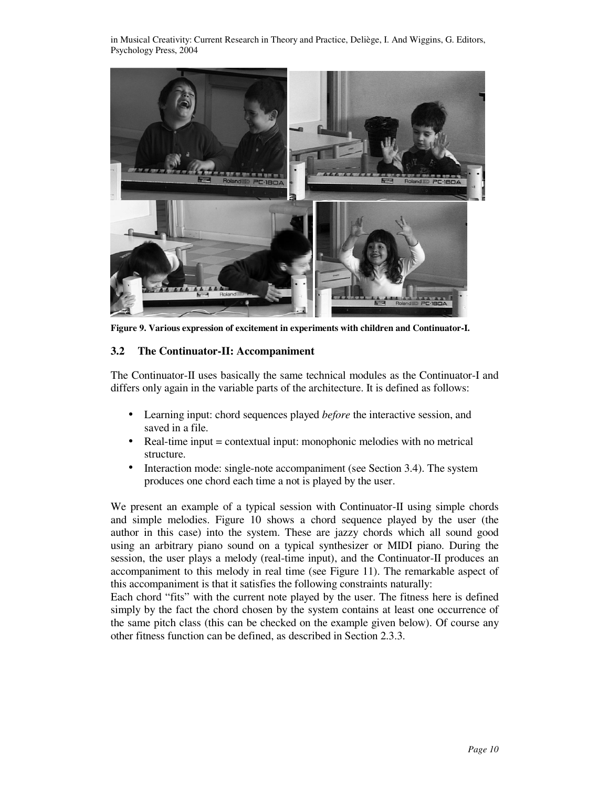

**Figure 9. Various expression of excitement in experiments with children and Continuator-I.** 

## **3.2 The Continuator-II: Accompaniment**

The Continuator-II uses basically the same technical modules as the Continuator-I and differs only again in the variable parts of the architecture. It is defined as follows:

- Learning input: chord sequences played *before* the interactive session, and saved in a file.
- Real-time input = contextual input: monophonic melodies with no metrical structure.
- Interaction mode: single-note accompaniment (see Section 3.4). The system produces one chord each time a not is played by the user.

We present an example of a typical session with Continuator-II using simple chords and simple melodies. Figure 10 shows a chord sequence played by the user (the author in this case) into the system. These are jazzy chords which all sound good using an arbitrary piano sound on a typical synthesizer or MIDI piano. During the session, the user plays a melody (real-time input), and the Continuator-II produces an accompaniment to this melody in real time (see Figure 11). The remarkable aspect of this accompaniment is that it satisfies the following constraints naturally:

Each chord "fits" with the current note played by the user. The fitness here is defined simply by the fact the chord chosen by the system contains at least one occurrence of the same pitch class (this can be checked on the example given below). Of course any other fitness function can be defined, as described in Section 2.3.3.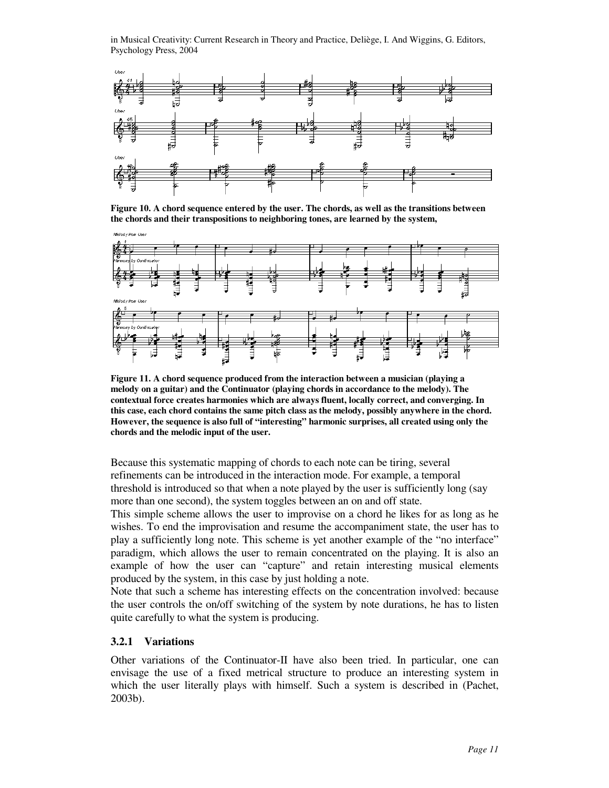

**Figure 10. A chord sequence entered by the user. The chords, as well as the transitions between the chords and their transpositions to neighboring tones, are learned by the system,** 



**Figure 11. A chord sequence produced from the interaction between a musician (playing a melody on a guitar) and the Continuator (playing chords in accordance to the melody). The contextual force creates harmonies which are always fluent, locally correct, and converging. In this case, each chord contains the same pitch class as the melody, possibly anywhere in the chord. However, the sequence is also full of "interesting" harmonic surprises, all created using only the chords and the melodic input of the user.** 

Because this systematic mapping of chords to each note can be tiring, several refinements can be introduced in the interaction mode. For example, a temporal threshold is introduced so that when a note played by the user is sufficiently long (say more than one second), the system toggles between an on and off state.

This simple scheme allows the user to improvise on a chord he likes for as long as he wishes. To end the improvisation and resume the accompaniment state, the user has to play a sufficiently long note. This scheme is yet another example of the "no interface" paradigm, which allows the user to remain concentrated on the playing. It is also an example of how the user can "capture" and retain interesting musical elements produced by the system, in this case by just holding a note.

Note that such a scheme has interesting effects on the concentration involved: because the user controls the on/off switching of the system by note durations, he has to listen quite carefully to what the system is producing.

#### **3.2.1 Variations**

Other variations of the Continuator-II have also been tried. In particular, one can envisage the use of a fixed metrical structure to produce an interesting system in which the user literally plays with himself. Such a system is described in (Pachet, 2003b).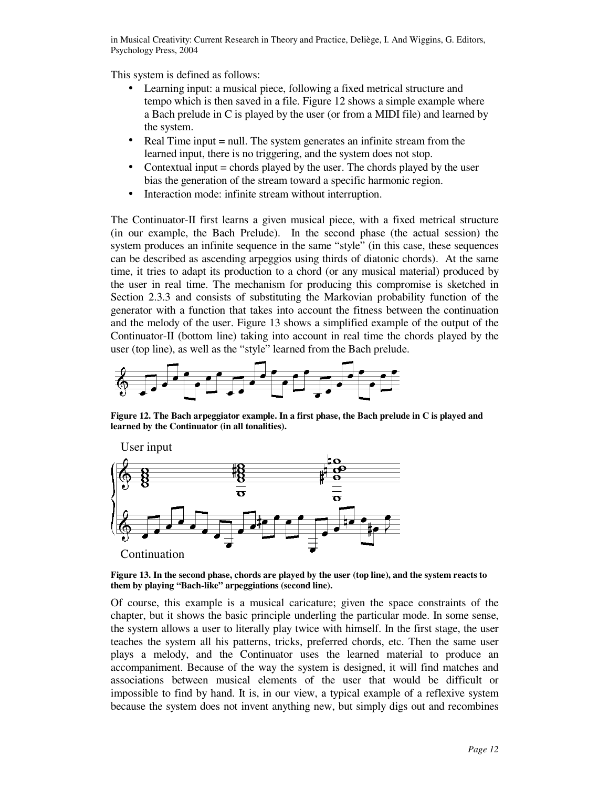This system is defined as follows:

- Learning input: a musical piece, following a fixed metrical structure and tempo which is then saved in a file. Figure 12 shows a simple example where a Bach prelude in C is played by the user (or from a MIDI file) and learned by the system.
- Real Time input = null. The system generates an infinite stream from the learned input, there is no triggering, and the system does not stop.
- Contextual input  $=$  chords played by the user. The chords played by the user bias the generation of the stream toward a specific harmonic region.
- Interaction mode: infinite stream without interruption.

The Continuator-II first learns a given musical piece, with a fixed metrical structure (in our example, the Bach Prelude). In the second phase (the actual session) the system produces an infinite sequence in the same "style" (in this case, these sequences can be described as ascending arpeggios using thirds of diatonic chords). At the same time, it tries to adapt its production to a chord (or any musical material) produced by the user in real time. The mechanism for producing this compromise is sketched in Section 2.3.3 and consists of substituting the Markovian probability function of the generator with a function that takes into account the fitness between the continuation and the melody of the user. Figure 13 shows a simplified example of the output of the Continuator-II (bottom line) taking into account in real time the chords played by the user (top line), as well as the "style" learned from the Bach prelude.



**Figure 12. The Bach arpeggiator example. In a first phase, the Bach prelude in C is played and learned by the Continuator (in all tonalities).** 



**Figure 13. In the second phase, chords are played by the user (top line), and the system reacts to them by playing "Bach-like" arpeggiations (second line).** 

Of course, this example is a musical caricature; given the space constraints of the chapter, but it shows the basic principle underling the particular mode. In some sense, the system allows a user to literally play twice with himself. In the first stage, the user teaches the system all his patterns, tricks, preferred chords, etc. Then the same user plays a melody, and the Continuator uses the learned material to produce an accompaniment. Because of the way the system is designed, it will find matches and associations between musical elements of the user that would be difficult or impossible to find by hand. It is, in our view, a typical example of a reflexive system because the system does not invent anything new, but simply digs out and recombines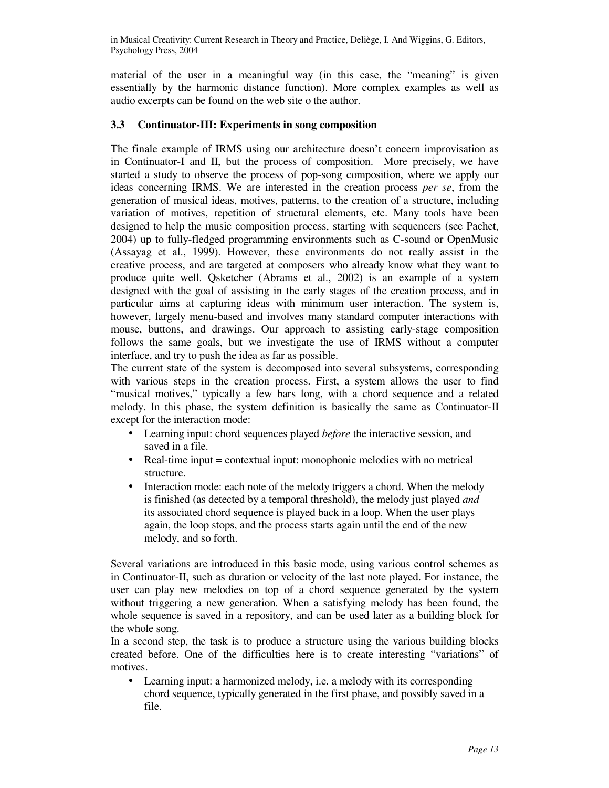material of the user in a meaningful way (in this case, the "meaning" is given essentially by the harmonic distance function). More complex examples as well as audio excerpts can be found on the web site o the author.

## **3.3 Continuator-III: Experiments in song composition**

The finale example of IRMS using our architecture doesn't concern improvisation as in Continuator-I and II, but the process of composition. More precisely, we have started a study to observe the process of pop-song composition, where we apply our ideas concerning IRMS. We are interested in the creation process *per se*, from the generation of musical ideas, motives, patterns, to the creation of a structure, including variation of motives, repetition of structural elements, etc. Many tools have been designed to help the music composition process, starting with sequencers (see Pachet, 2004) up to fully-fledged programming environments such as C-sound or OpenMusic (Assayag et al., 1999). However, these environments do not really assist in the creative process, and are targeted at composers who already know what they want to produce quite well. Qsketcher (Abrams et al., 2002) is an example of a system designed with the goal of assisting in the early stages of the creation process, and in particular aims at capturing ideas with minimum user interaction. The system is, however, largely menu-based and involves many standard computer interactions with mouse, buttons, and drawings. Our approach to assisting early-stage composition follows the same goals, but we investigate the use of IRMS without a computer interface, and try to push the idea as far as possible.

The current state of the system is decomposed into several subsystems, corresponding with various steps in the creation process. First, a system allows the user to find "musical motives," typically a few bars long, with a chord sequence and a related melody. In this phase, the system definition is basically the same as Continuator-II except for the interaction mode:

- Learning input: chord sequences played *before* the interactive session, and saved in a file.
- Real-time input = contextual input: monophonic melodies with no metrical structure.
- Interaction mode: each note of the melody triggers a chord. When the melody is finished (as detected by a temporal threshold), the melody just played *and* its associated chord sequence is played back in a loop. When the user plays again, the loop stops, and the process starts again until the end of the new melody, and so forth.

Several variations are introduced in this basic mode, using various control schemes as in Continuator-II, such as duration or velocity of the last note played. For instance, the user can play new melodies on top of a chord sequence generated by the system without triggering a new generation. When a satisfying melody has been found, the whole sequence is saved in a repository, and can be used later as a building block for the whole song.

In a second step, the task is to produce a structure using the various building blocks created before. One of the difficulties here is to create interesting "variations" of motives.

• Learning input: a harmonized melody, i.e. a melody with its corresponding chord sequence, typically generated in the first phase, and possibly saved in a file.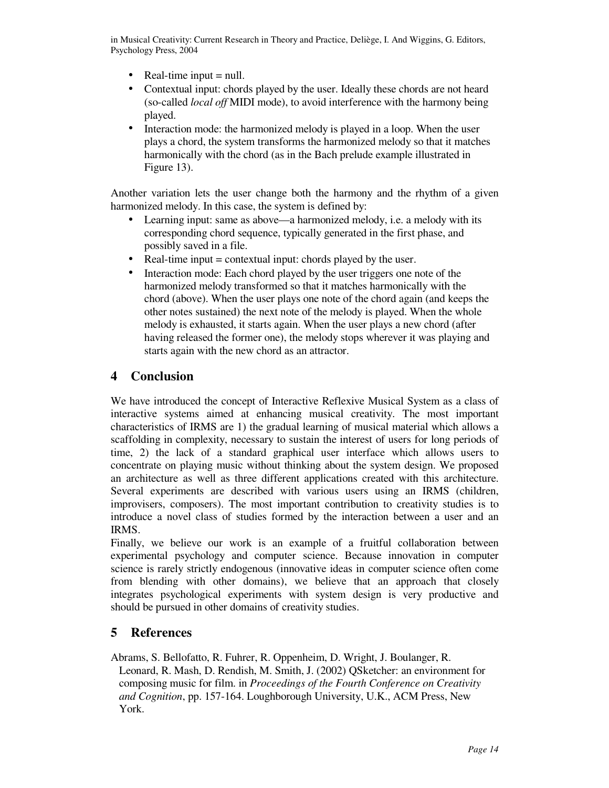- Real-time input  $=$  null.
- Contextual input: chords played by the user. Ideally these chords are not heard (so-called *local off* MIDI mode), to avoid interference with the harmony being played.
- Interaction mode: the harmonized melody is played in a loop. When the user plays a chord, the system transforms the harmonized melody so that it matches harmonically with the chord (as in the Bach prelude example illustrated in Figure 13).

Another variation lets the user change both the harmony and the rhythm of a given harmonized melody. In this case, the system is defined by:

- Learning input: same as above—a harmonized melody, i.e. a melody with its corresponding chord sequence, typically generated in the first phase, and possibly saved in a file.
- Real-time input  $=$  contextual input: chords played by the user.
- Interaction mode: Each chord played by the user triggers one note of the harmonized melody transformed so that it matches harmonically with the chord (above). When the user plays one note of the chord again (and keeps the other notes sustained) the next note of the melody is played. When the whole melody is exhausted, it starts again. When the user plays a new chord (after having released the former one), the melody stops wherever it was playing and starts again with the new chord as an attractor.

# **4 Conclusion**

We have introduced the concept of Interactive Reflexive Musical System as a class of interactive systems aimed at enhancing musical creativity. The most important characteristics of IRMS are 1) the gradual learning of musical material which allows a scaffolding in complexity, necessary to sustain the interest of users for long periods of time, 2) the lack of a standard graphical user interface which allows users to concentrate on playing music without thinking about the system design. We proposed an architecture as well as three different applications created with this architecture. Several experiments are described with various users using an IRMS (children, improvisers, composers). The most important contribution to creativity studies is to introduce a novel class of studies formed by the interaction between a user and an IRMS.

Finally, we believe our work is an example of a fruitful collaboration between experimental psychology and computer science. Because innovation in computer science is rarely strictly endogenous (innovative ideas in computer science often come from blending with other domains), we believe that an approach that closely integrates psychological experiments with system design is very productive and should be pursued in other domains of creativity studies.

# **5 References**

Abrams, S. Bellofatto, R. Fuhrer, R. Oppenheim, D. Wright, J. Boulanger, R.

Leonard, R. Mash, D. Rendish, M. Smith, J. (2002) QSketcher: an environment for composing music for film. in *Proceedings of the Fourth Conference on Creativity and Cognition*, pp. 157-164. Loughborough University, U.K., ACM Press, New York.